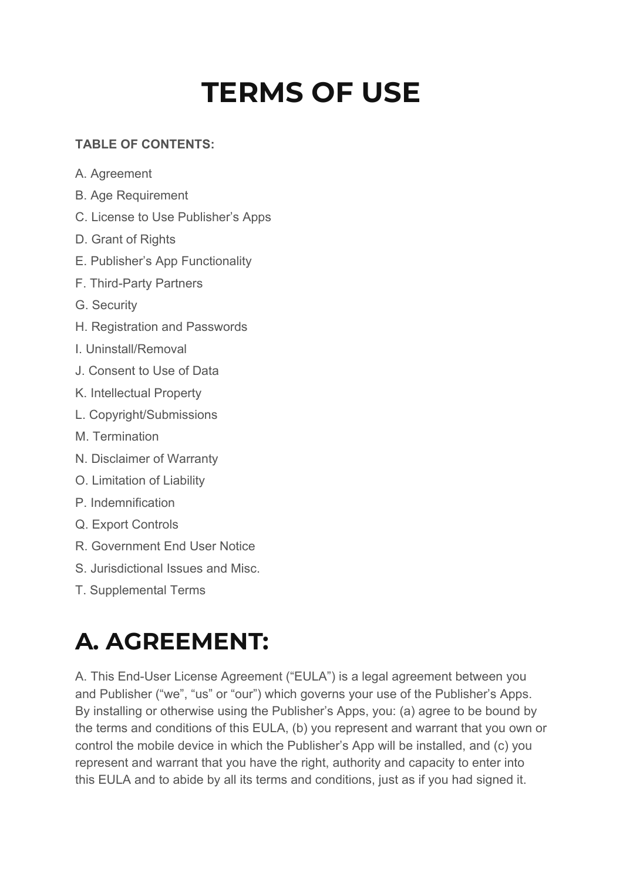# **TERMS OF USE**

#### **TABLE OF CONTENTS:**

- A. Agreement
- B. Age Requirement
- C. License to Use Publisher's Apps
- D. Grant of Rights
- E. Publisher's App Functionality
- F. Third-Party Partners
- G. Security
- H. Registration and Passwords
- I. Uninstall/Removal
- J. Consent to Use of Data
- K. Intellectual Property
- L. Copyright/Submissions
- M. Termination
- N. Disclaimer of Warranty
- O. Limitation of Liability
- P. Indemnification
- Q. Export Controls
- R. Government End User Notice
- S. Jurisdictional Issues and Misc.
- T. Supplemental Terms

## **A. AGREEMENT:**

A. This End-User License Agreement ("EULA") is a legal agreement between you and Publisher ("we", "us" or "our") which governs your use of the Publisher's Apps. By installing or otherwise using the Publisher's Apps, you: (a) agree to be bound by the terms and conditions of this EULA, (b) you represent and warrant that you own or control the mobile device in which the Publisher's App will be installed, and (c) you represent and warrant that you have the right, authority and capacity to enter into this EULA and to abide by all its terms and conditions, just as if you had signed it.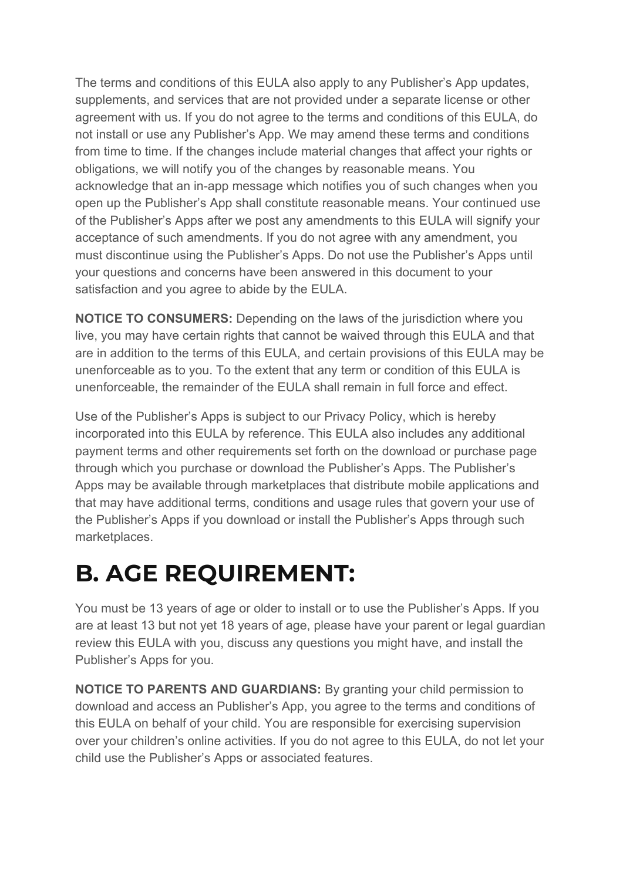The terms and conditions of this EULA also apply to any Publisher's App updates, supplements, and services that are not provided under a separate license or other agreement with us. If you do not agree to the terms and conditions of this EULA, do not install or use any Publisher's App. We may amend these terms and conditions from time to time. If the changes include material changes that affect your rights or obligations, we will notify you of the changes by reasonable means. You acknowledge that an in-app message which notifies you of such changes when you open up the Publisher's App shall constitute reasonable means. Your continued use of the Publisher's Apps after we post any amendments to this EULA will signify your acceptance of such amendments. If you do not agree with any amendment, you must discontinue using the Publisher's Apps. Do not use the Publisher's Apps until your questions and concerns have been answered in this document to your satisfaction and you agree to abide by the EULA.

**NOTICE TO CONSUMERS:** Depending on the laws of the jurisdiction where you live, you may have certain rights that cannot be waived through this EULA and that are in addition to the terms of this EULA, and certain provisions of this EULA may be unenforceable as to you. To the extent that any term or condition of this EULA is unenforceable, the remainder of the EULA shall remain in full force and effect.

Use of the Publisher's Apps is subject to our Privacy Policy, which is hereby incorporated into this EULA by reference. This EULA also includes any additional payment terms and other requirements set forth on the download or purchase page through which you purchase or download the Publisher's Apps. The Publisher's Apps may be available through marketplaces that distribute mobile applications and that may have additional terms, conditions and usage rules that govern your use of the Publisher's Apps if you download or install the Publisher's Apps through such marketplaces.

### **B. AGE REQUIREMENT:**

You must be 13 years of age or older to install or to use the Publisher's Apps. If you are at least 13 but not yet 18 years of age, please have your parent or legal guardian review this EULA with you, discuss any questions you might have, and install the Publisher's Apps for you.

**NOTICE TO PARENTS AND GUARDIANS:** By granting your child permission to download and access an Publisher's App, you agree to the terms and conditions of this EULA on behalf of your child. You are responsible for exercising supervision over your children's online activities. If you do not agree to this EULA, do not let your child use the Publisher's Apps or associated features.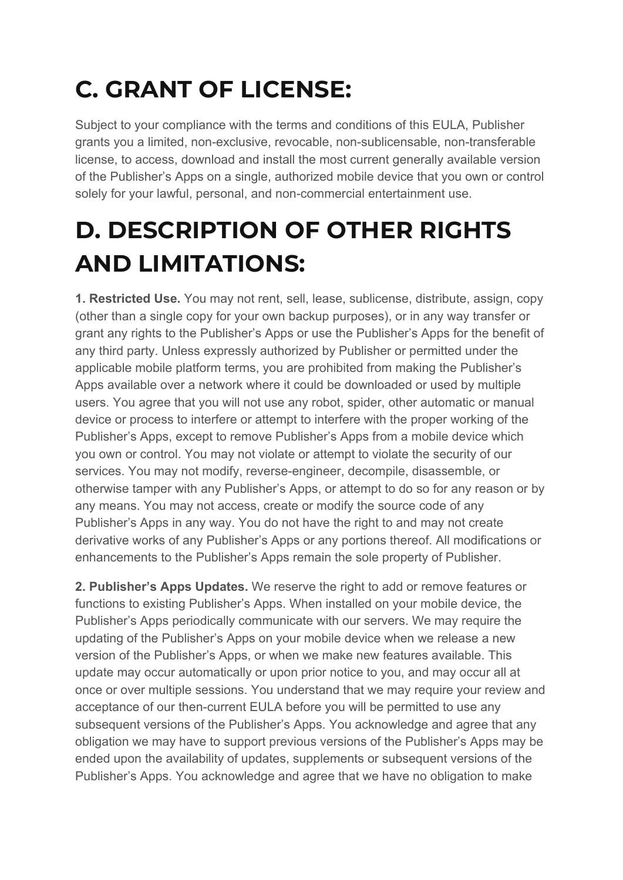## **C. GRANT OF LICENSE:**

Subject to your compliance with the terms and conditions of this EULA, Publisher grants you a limited, non-exclusive, revocable, non-sublicensable, non-transferable license, to access, download and install the most current generally available version of the Publisher's Apps on a single, authorized mobile device that you own or control solely for your lawful, personal, and non-commercial entertainment use.

## **D. DESCRIPTION OF OTHER RIGHTS AND LIMITATIONS:**

**1. Restricted Use.** You may not rent, sell, lease, sublicense, distribute, assign, copy (other than a single copy for your own backup purposes), or in any way transfer or grant any rights to the Publisher's Apps or use the Publisher's Apps for the benefit of any third party. Unless expressly authorized by Publisher or permitted under the applicable mobile platform terms, you are prohibited from making the Publisher's Apps available over a network where it could be downloaded or used by multiple users. You agree that you will not use any robot, spider, other automatic or manual device or process to interfere or attempt to interfere with the proper working of the Publisher's Apps, except to remove Publisher's Apps from a mobile device which you own or control. You may not violate or attempt to violate the security of our services. You may not modify, reverse-engineer, decompile, disassemble, or otherwise tamper with any Publisher's Apps, or attempt to do so for any reason or by any means. You may not access, create or modify the source code of any Publisher's Apps in any way. You do not have the right to and may not create derivative works of any Publisher's Apps or any portions thereof. All modifications or enhancements to the Publisher's Apps remain the sole property of Publisher.

**2. Publisher's Apps Updates.** We reserve the right to add or remove features or functions to existing Publisher's Apps. When installed on your mobile device, the Publisher's Apps periodically communicate with our servers. We may require the updating of the Publisher's Apps on your mobile device when we release a new version of the Publisher's Apps, or when we make new features available. This update may occur automatically or upon prior notice to you, and may occur all at once or over multiple sessions. You understand that we may require your review and acceptance of our then-current EULA before you will be permitted to use any subsequent versions of the Publisher's Apps. You acknowledge and agree that any obligation we may have to support previous versions of the Publisher's Apps may be ended upon the availability of updates, supplements or subsequent versions of the Publisher's Apps. You acknowledge and agree that we have no obligation to make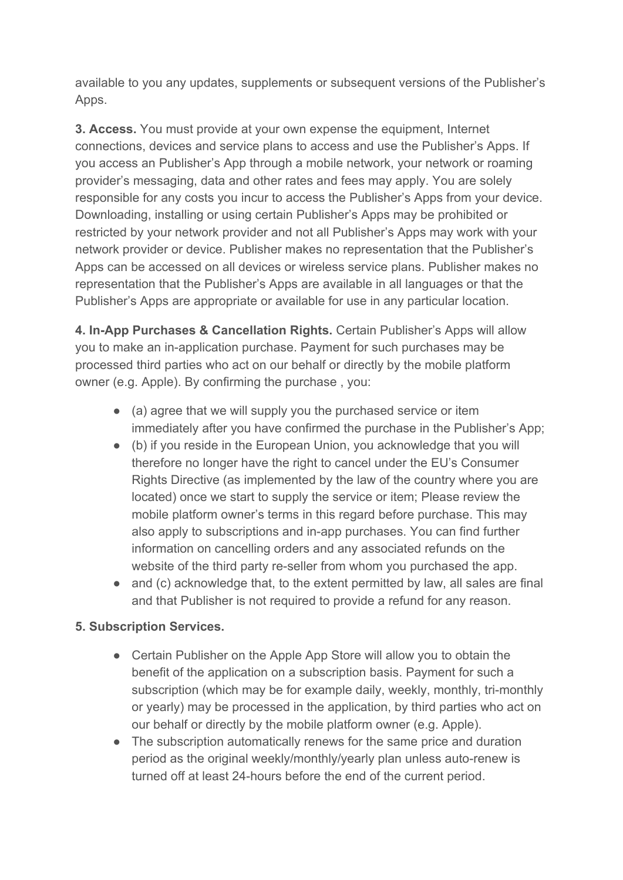available to you any updates, supplements or subsequent versions of the Publisher's Apps.

**3. Access.** You must provide at your own expense the equipment, Internet connections, devices and service plans to access and use the Publisher's Apps. If you access an Publisher's App through a mobile network, your network or roaming provider's messaging, data and other rates and fees may apply. You are solely responsible for any costs you incur to access the Publisher's Apps from your device. Downloading, installing or using certain Publisher's Apps may be prohibited or restricted by your network provider and not all Publisher's Apps may work with your network provider or device. Publisher makes no representation that the Publisher's Apps can be accessed on all devices or wireless service plans. Publisher makes no representation that the Publisher's Apps are available in all languages or that the Publisher's Apps are appropriate or available for use in any particular location.

**4. In-App Purchases & Cancellation Rights.** Certain Publisher's Apps will allow you to make an in-application purchase. Payment for such purchases may be processed third parties who act on our behalf or directly by the mobile platform owner (e.g. Apple). By confirming the purchase , you:

- (a) agree that we will supply you the purchased service or item immediately after you have confirmed the purchase in the Publisher's App;
- (b) if you reside in the European Union, you acknowledge that you will therefore no longer have the right to cancel under the EU's Consumer Rights Directive (as implemented by the law of the country where you are located) once we start to supply the service or item; Please review the mobile platform owner's terms in this regard before purchase. This may also apply to subscriptions and in-app purchases. You can find further information on cancelling orders and any associated refunds on the website of the third party re-seller from whom you purchased the app.
- and (c) acknowledge that, to the extent permitted by law, all sales are final and that Publisher is not required to provide a refund for any reason.

#### **5. Subscription Services.**

- Certain Publisher on the Apple App Store will allow you to obtain the benefit of the application on a subscription basis. Payment for such a subscription (which may be for example daily, weekly, monthly, tri-monthly or yearly) may be processed in the application, by third parties who act on our behalf or directly by the mobile platform owner (e.g. Apple).
- The subscription automatically renews for the same price and duration period as the original weekly/monthly/yearly plan unless auto-renew is turned off at least 24-hours before the end of the current period.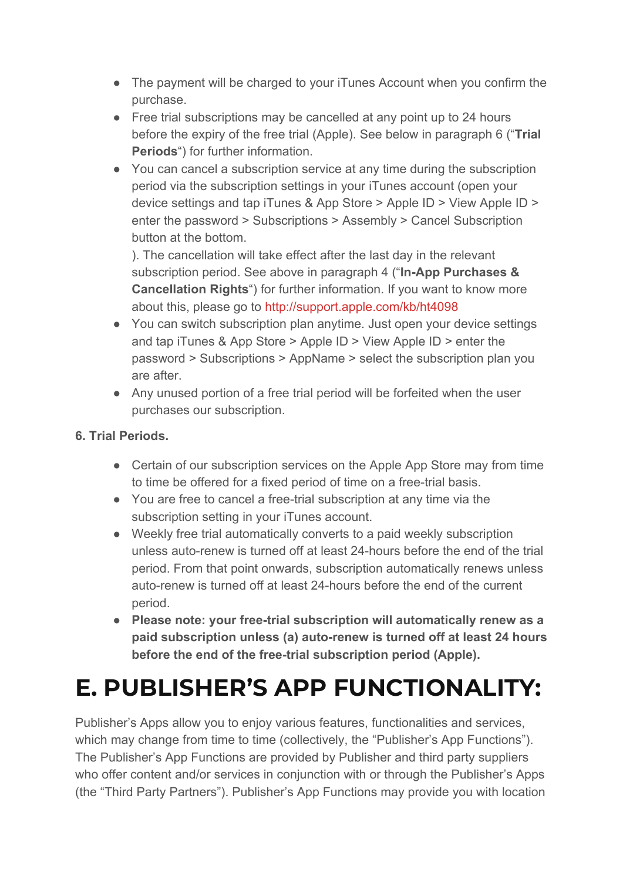- The payment will be charged to your iTunes Account when you confirm the purchase.
- Free trial subscriptions may be cancelled at any point up to 24 hours before the expiry of the free trial (Apple). See below in paragraph 6 ("**Trial Periods**") for further information.
- You can cancel a subscription service at any time during the subscription period via the subscription settings in your iTunes account (open your device settings and tap iTunes & App Store > Apple ID > View Apple ID > enter the password > Subscriptions > Assembly > Cancel Subscription button at the bottom.

). The cancellation will take effect after the last day in the relevant subscription period. See above in paragraph 4 ("**In-App Purchases & Cancellation Rights**") for further information. If you want to know more about this, please go to <http://support.apple.com/kb/ht4098>

- You can switch subscription plan anytime. Just open your device settings and tap iTunes & App Store > Apple ID > View Apple ID > enter the password > Subscriptions > AppName > select the subscription plan you are after.
- Any unused portion of a free trial period will be forfeited when the user purchases our subscription.

#### **6. Trial Periods.**

- Certain of our subscription services on the Apple App Store may from time to time be offered for a fixed period of time on a free-trial basis.
- You are free to cancel a free-trial subscription at any time via the subscription setting in your iTunes account.
- Weekly free trial automatically converts to a paid weekly subscription unless auto-renew is turned off at least 24-hours before the end of the trial period. From that point onwards, subscription automatically renews unless auto-renew is turned off at least 24-hours before the end of the current period.
- **Please note: your free-trial subscription will automatically renew as a paid subscription unless (a) auto-renew is turned off at least 24 hours before the end of the free-trial subscription period (Apple).**

### **E. PUBLISHER'S APP FUNCTIONALITY:**

Publisher's Apps allow you to enjoy various features, functionalities and services, which may change from time to time (collectively, the "Publisher's App Functions"). The Publisher's App Functions are provided by Publisher and third party suppliers who offer content and/or services in conjunction with or through the Publisher's Apps (the "Third Party Partners"). Publisher's App Functions may provide you with location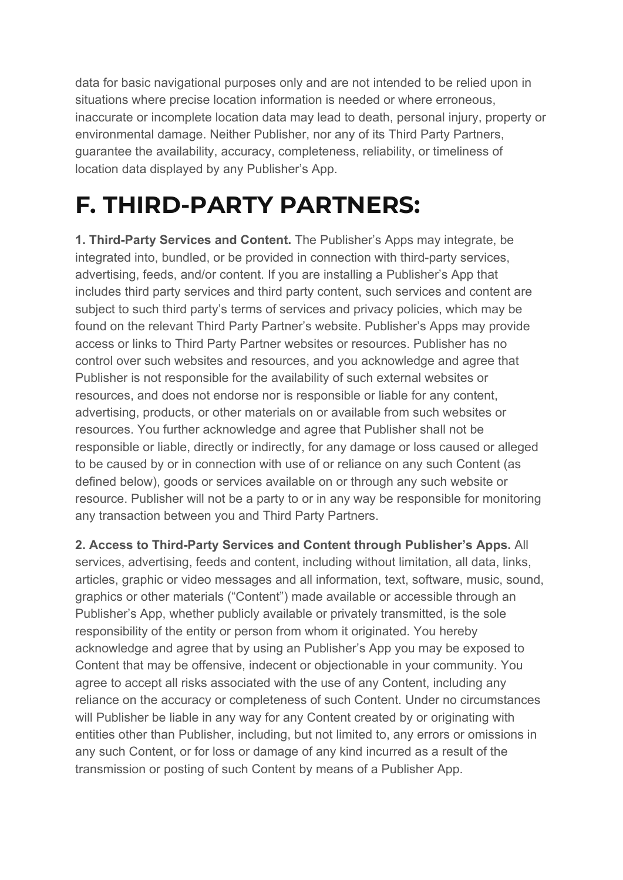data for basic navigational purposes only and are not intended to be relied upon in situations where precise location information is needed or where erroneous, inaccurate or incomplete location data may lead to death, personal injury, property or environmental damage. Neither Publisher, nor any of its Third Party Partners, guarantee the availability, accuracy, completeness, reliability, or timeliness of location data displayed by any Publisher's App.

## **F. THIRD-PARTY PARTNERS:**

**1. Third-Party Services and Content.** The Publisher's Apps may integrate, be integrated into, bundled, or be provided in connection with third-party services, advertising, feeds, and/or content. If you are installing a Publisher's App that includes third party services and third party content, such services and content are subject to such third party's terms of services and privacy policies, which may be found on the relevant Third Party Partner's website. Publisher's Apps may provide access or links to Third Party Partner websites or resources. Publisher has no control over such websites and resources, and you acknowledge and agree that Publisher is not responsible for the availability of such external websites or resources, and does not endorse nor is responsible or liable for any content, advertising, products, or other materials on or available from such websites or resources. You further acknowledge and agree that Publisher shall not be responsible or liable, directly or indirectly, for any damage or loss caused or alleged to be caused by or in connection with use of or reliance on any such Content (as defined below), goods or services available on or through any such website or resource. Publisher will not be a party to or in any way be responsible for monitoring any transaction between you and Third Party Partners.

**2. Access to Third-Party Services and Content through Publisher's Apps.** All services, advertising, feeds and content, including without limitation, all data, links, articles, graphic or video messages and all information, text, software, music, sound, graphics or other materials ("Content") made available or accessible through an Publisher's App, whether publicly available or privately transmitted, is the sole responsibility of the entity or person from whom it originated. You hereby acknowledge and agree that by using an Publisher's App you may be exposed to Content that may be offensive, indecent or objectionable in your community. You agree to accept all risks associated with the use of any Content, including any reliance on the accuracy or completeness of such Content. Under no circumstances will Publisher be liable in any way for any Content created by or originating with entities other than Publisher, including, but not limited to, any errors or omissions in any such Content, or for loss or damage of any kind incurred as a result of the transmission or posting of such Content by means of a Publisher App.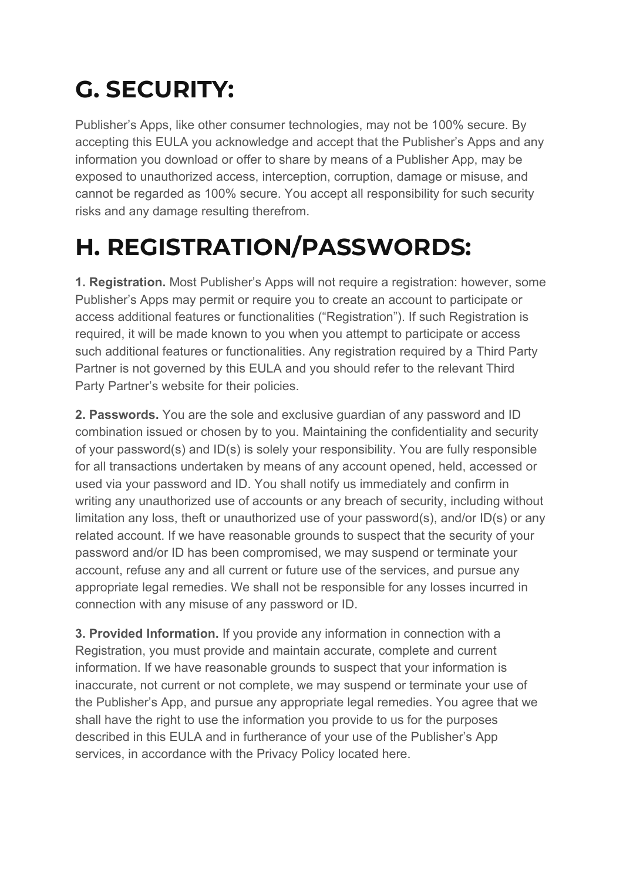## **G. SECURITY:**

Publisher's Apps, like other consumer technologies, may not be 100% secure. By accepting this EULA you acknowledge and accept that the Publisher's Apps and any information you download or offer to share by means of a Publisher App, may be exposed to unauthorized access, interception, corruption, damage or misuse, and cannot be regarded as 100% secure. You accept all responsibility for such security risks and any damage resulting therefrom.

## **H. REGISTRATION/PASSWORDS:**

**1. Registration.** Most Publisher's Apps will not require a registration: however, some Publisher's Apps may permit or require you to create an account to participate or access additional features or functionalities ("Registration"). If such Registration is required, it will be made known to you when you attempt to participate or access such additional features or functionalities. Any registration required by a Third Party Partner is not governed by this EULA and you should refer to the relevant Third Party Partner's website for their policies.

**2. Passwords.** You are the sole and exclusive guardian of any password and ID combination issued or chosen by to you. Maintaining the confidentiality and security of your password(s) and ID(s) is solely your responsibility. You are fully responsible for all transactions undertaken by means of any account opened, held, accessed or used via your password and ID. You shall notify us immediately and confirm in writing any unauthorized use of accounts or any breach of security, including without limitation any loss, theft or unauthorized use of your password(s), and/or ID(s) or any related account. If we have reasonable grounds to suspect that the security of your password and/or ID has been compromised, we may suspend or terminate your account, refuse any and all current or future use of the services, and pursue any appropriate legal remedies. We shall not be responsible for any losses incurred in connection with any misuse of any password or ID.

**3. Provided Information.** If you provide any information in connection with a Registration, you must provide and maintain accurate, complete and current information. If we have reasonable grounds to suspect that your information is inaccurate, not current or not complete, we may suspend or terminate your use of the Publisher's App, and pursue any appropriate legal remedies. You agree that we shall have the right to use the information you provide to us for the purposes described in this EULA and in furtherance of your use of the Publisher's App services, in accordance with the Privacy Policy located here.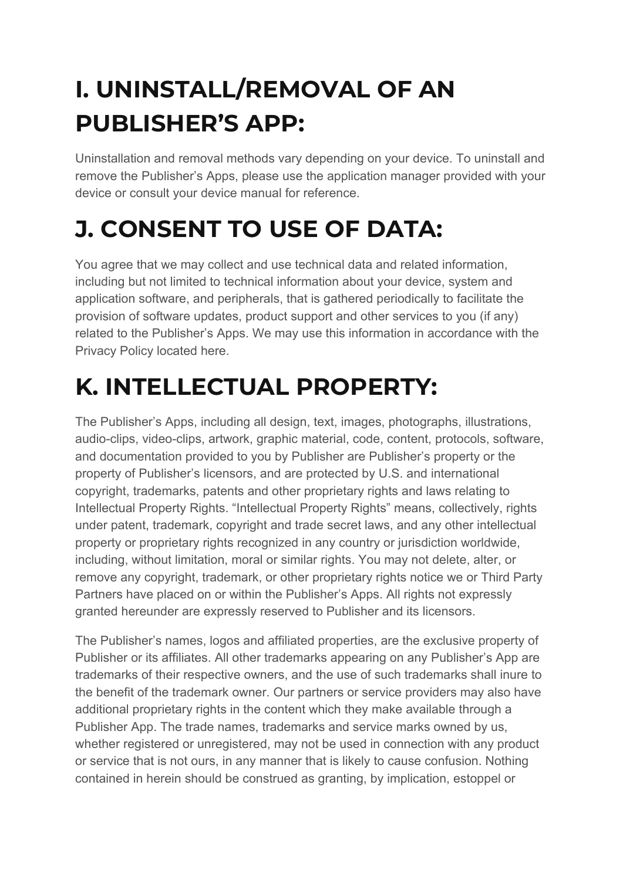## **I. UNINSTALL/REMOVAL OF AN PUBLISHER'S APP:**

Uninstallation and removal methods vary depending on your device. To uninstall and remove the Publisher's Apps, please use the application manager provided with your device or consult your device manual for reference.

### **J. CONSENT TO USE OF DATA:**

You agree that we may collect and use technical data and related information, including but not limited to technical information about your device, system and application software, and peripherals, that is gathered periodically to facilitate the provision of software updates, product support and other services to you (if any) related to the Publisher's Apps. We may use this information in accordance with the Privacy Policy located here.

## **K. INTELLECTUAL PROPERTY:**

The Publisher's Apps, including all design, text, images, photographs, illustrations, audio-clips, video-clips, artwork, graphic material, code, content, protocols, software, and documentation provided to you by Publisher are Publisher's property or the property of Publisher's licensors, and are protected by U.S. and international copyright, trademarks, patents and other proprietary rights and laws relating to Intellectual Property Rights. "Intellectual Property Rights" means, collectively, rights under patent, trademark, copyright and trade secret laws, and any other intellectual property or proprietary rights recognized in any country or jurisdiction worldwide, including, without limitation, moral or similar rights. You may not delete, alter, or remove any copyright, trademark, or other proprietary rights notice we or Third Party Partners have placed on or within the Publisher's Apps. All rights not expressly granted hereunder are expressly reserved to Publisher and its licensors.

The Publisher's names, logos and affiliated properties, are the exclusive property of Publisher or its affiliates. All other trademarks appearing on any Publisher's App are trademarks of their respective owners, and the use of such trademarks shall inure to the benefit of the trademark owner. Our partners or service providers may also have additional proprietary rights in the content which they make available through a Publisher App. The trade names, trademarks and service marks owned by us, whether registered or unregistered, may not be used in connection with any product or service that is not ours, in any manner that is likely to cause confusion. Nothing contained in herein should be construed as granting, by implication, estoppel or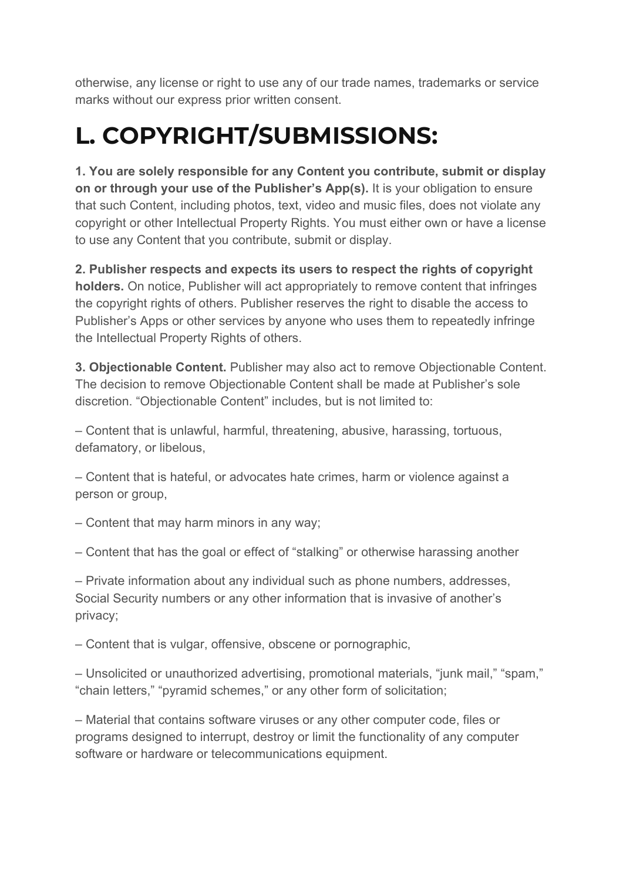otherwise, any license or right to use any of our trade names, trademarks or service marks without our express prior written consent.

## **L. COPYRIGHT/SUBMISSIONS:**

**1. You are solely responsible for any Content you contribute, submit or display on or through your use of the Publisher's App(s).** It is your obligation to ensure that such Content, including photos, text, video and music files, does not violate any copyright or other Intellectual Property Rights. You must either own or have a license to use any Content that you contribute, submit or display.

**2. Publisher respects and expects its users to respect the rights of copyright holders.** On notice, Publisher will act appropriately to remove content that infringes the copyright rights of others. Publisher reserves the right to disable the access to Publisher's Apps or other services by anyone who uses them to repeatedly infringe the Intellectual Property Rights of others.

**3. Objectionable Content.** Publisher may also act to remove Objectionable Content. The decision to remove Objectionable Content shall be made at Publisher's sole discretion. "Objectionable Content" includes, but is not limited to:

– Content that is unlawful, harmful, threatening, abusive, harassing, tortuous, defamatory, or libelous,

– Content that is hateful, or advocates hate crimes, harm or violence against a person or group,

– Content that may harm minors in any way;

– Content that has the goal or effect of "stalking" or otherwise harassing another

– Private information about any individual such as phone numbers, addresses, Social Security numbers or any other information that is invasive of another's privacy;

– Content that is vulgar, offensive, obscene or pornographic,

– Unsolicited or unauthorized advertising, promotional materials, "junk mail," "spam," "chain letters," "pyramid schemes," or any other form of solicitation;

– Material that contains software viruses or any other computer code, files or programs designed to interrupt, destroy or limit the functionality of any computer software or hardware or telecommunications equipment.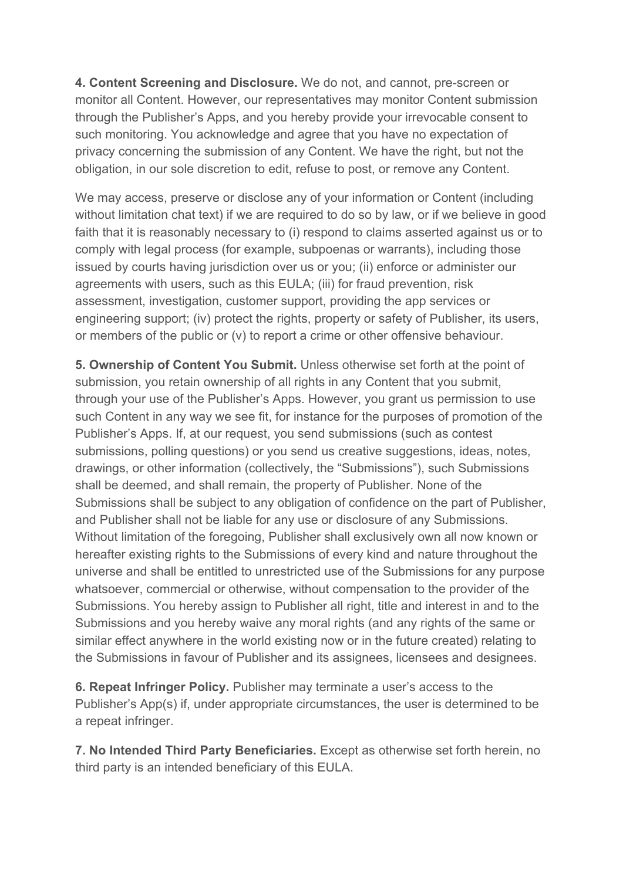**4. Content Screening and Disclosure.** We do not, and cannot, pre-screen or monitor all Content. However, our representatives may monitor Content submission through the Publisher's Apps, and you hereby provide your irrevocable consent to such monitoring. You acknowledge and agree that you have no expectation of privacy concerning the submission of any Content. We have the right, but not the obligation, in our sole discretion to edit, refuse to post, or remove any Content.

We may access, preserve or disclose any of your information or Content (including without limitation chat text) if we are required to do so by law, or if we believe in good faith that it is reasonably necessary to (i) respond to claims asserted against us or to comply with legal process (for example, subpoenas or warrants), including those issued by courts having jurisdiction over us or you; (ii) enforce or administer our agreements with users, such as this EULA; (iii) for fraud prevention, risk assessment, investigation, customer support, providing the app services or engineering support; (iv) protect the rights, property or safety of Publisher, its users, or members of the public or (v) to report a crime or other offensive behaviour.

**5. Ownership of Content You Submit.** Unless otherwise set forth at the point of submission, you retain ownership of all rights in any Content that you submit, through your use of the Publisher's Apps. However, you grant us permission to use such Content in any way we see fit, for instance for the purposes of promotion of the Publisher's Apps. If, at our request, you send submissions (such as contest submissions, polling questions) or you send us creative suggestions, ideas, notes, drawings, or other information (collectively, the "Submissions"), such Submissions shall be deemed, and shall remain, the property of Publisher. None of the Submissions shall be subject to any obligation of confidence on the part of Publisher, and Publisher shall not be liable for any use or disclosure of any Submissions. Without limitation of the foregoing, Publisher shall exclusively own all now known or hereafter existing rights to the Submissions of every kind and nature throughout the universe and shall be entitled to unrestricted use of the Submissions for any purpose whatsoever, commercial or otherwise, without compensation to the provider of the Submissions. You hereby assign to Publisher all right, title and interest in and to the Submissions and you hereby waive any moral rights (and any rights of the same or similar effect anywhere in the world existing now or in the future created) relating to the Submissions in favour of Publisher and its assignees, licensees and designees.

**6. Repeat Infringer Policy.** Publisher may terminate a user's access to the Publisher's App(s) if, under appropriate circumstances, the user is determined to be a repeat infringer.

**7. No Intended Third Party Beneficiaries.** Except as otherwise set forth herein, no third party is an intended beneficiary of this EULA.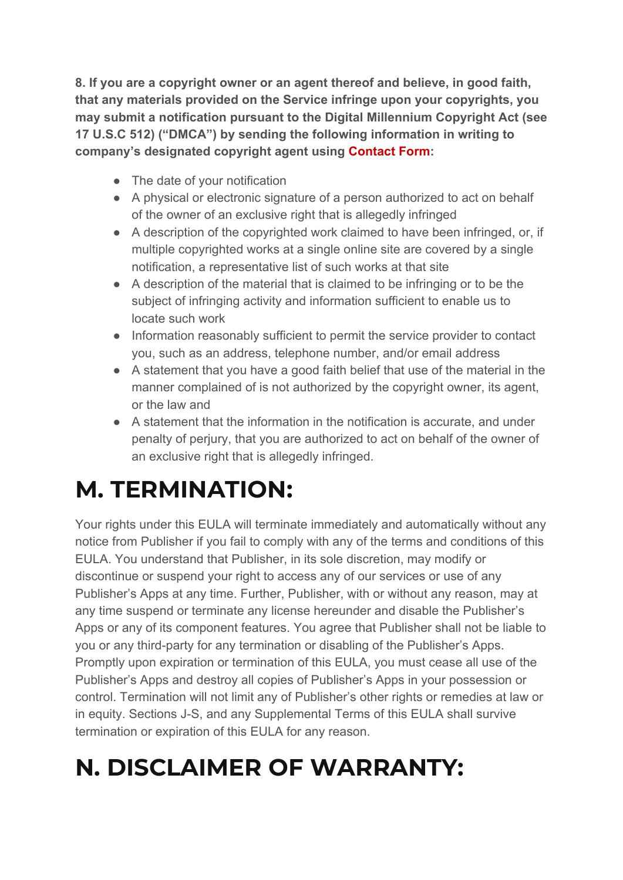**8. If you are a copyright owner or an agent thereof and believe, in good faith, that any materials provided on the Service infringe upon your copyrights, you may submit a notification pursuant to the Digital Millennium Copyright Act (see 17 U.S.C 512) ("DMCA") by sending the following information in writing to company's designated copyright agent using Contac[t](https://tinymediapower.wordpress.com/contact-us/) Form:**

- The date of your notification
- A physical or electronic signature of a person authorized to act on behalf of the owner of an exclusive right that is allegedly infringed
- A description of the copyrighted work claimed to have been infringed, or, if multiple copyrighted works at a single online site are covered by a single notification, a representative list of such works at that site
- A description of the material that is claimed to be infringing or to be the subject of infringing activity and information sufficient to enable us to locate such work
- Information reasonably sufficient to permit the service provider to contact you, such as an address, telephone number, and/or email address
- A statement that you have a good faith belief that use of the material in the manner complained of is not authorized by the copyright owner, its agent, or the law and
- A statement that the information in the notification is accurate, and under penalty of perjury, that you are authorized to act on behalf of the owner of an exclusive right that is allegedly infringed.

## **M. TERMINATION:**

Your rights under this EULA will terminate immediately and automatically without any notice from Publisher if you fail to comply with any of the terms and conditions of this EULA. You understand that Publisher, in its sole discretion, may modify or discontinue or suspend your right to access any of our services or use of any Publisher's Apps at any time. Further, Publisher, with or without any reason, may at any time suspend or terminate any license hereunder and disable the Publisher's Apps or any of its component features. You agree that Publisher shall not be liable to you or any third-party for any termination or disabling of the Publisher's Apps. Promptly upon expiration or termination of this EULA, you must cease all use of the Publisher's Apps and destroy all copies of Publisher's Apps in your possession or control. Termination will not limit any of Publisher's other rights or remedies at law or in equity. Sections J-S, and any Supplemental Terms of this EULA shall survive termination or expiration of this EULA for any reason.

## **N. DISCLAIMER OF WARRANTY:**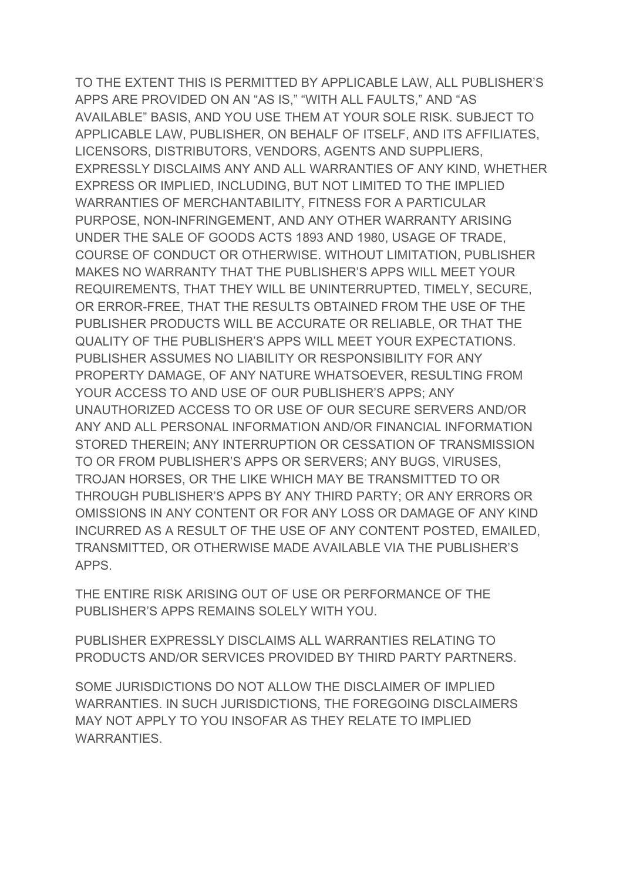TO THE EXTENT THIS IS PERMITTED BY APPLICABLE LAW, ALL PUBLISHER'S APPS ARE PROVIDED ON AN "AS IS," "WITH ALL FAULTS," AND "AS AVAILABLE" BASIS, AND YOU USE THEM AT YOUR SOLE RISK. SUBJECT TO APPLICABLE LAW, PUBLISHER, ON BEHALF OF ITSELF, AND ITS AFFILIATES, LICENSORS, DISTRIBUTORS, VENDORS, AGENTS AND SUPPLIERS, EXPRESSLY DISCLAIMS ANY AND ALL WARRANTIES OF ANY KIND, WHETHER EXPRESS OR IMPLIED, INCLUDING, BUT NOT LIMITED TO THE IMPLIED WARRANTIES OF MERCHANTABILITY, FITNESS FOR A PARTICULAR PURPOSE, NON-INFRINGEMENT, AND ANY OTHER WARRANTY ARISING UNDER THE SALE OF GOODS ACTS 1893 AND 1980, USAGE OF TRADE, COURSE OF CONDUCT OR OTHERWISE. WITHOUT LIMITATION, PUBLISHER MAKES NO WARRANTY THAT THE PUBLISHER'S APPS WILL MEET YOUR REQUIREMENTS, THAT THEY WILL BE UNINTERRUPTED, TIMELY, SECURE, OR ERROR-FREE, THAT THE RESULTS OBTAINED FROM THE USE OF THE PUBLISHER PRODUCTS WILL BE ACCURATE OR RELIABLE, OR THAT THE QUALITY OF THE PUBLISHER'S APPS WILL MEET YOUR EXPECTATIONS. PUBLISHER ASSUMES NO LIABILITY OR RESPONSIBILITY FOR ANY PROPERTY DAMAGE, OF ANY NATURE WHATSOEVER, RESULTING FROM YOUR ACCESS TO AND USE OF OUR PUBLISHER'S APPS; ANY UNAUTHORIZED ACCESS TO OR USE OF OUR SECURE SERVERS AND/OR ANY AND ALL PERSONAL INFORMATION AND/OR FINANCIAL INFORMATION STORED THEREIN; ANY INTERRUPTION OR CESSATION OF TRANSMISSION TO OR FROM PUBLISHER'S APPS OR SERVERS; ANY BUGS, VIRUSES, TROJAN HORSES, OR THE LIKE WHICH MAY BE TRANSMITTED TO OR THROUGH PUBLISHER'S APPS BY ANY THIRD PARTY; OR ANY ERRORS OR OMISSIONS IN ANY CONTENT OR FOR ANY LOSS OR DAMAGE OF ANY KIND INCURRED AS A RESULT OF THE USE OF ANY CONTENT POSTED, EMAILED, TRANSMITTED, OR OTHERWISE MADE AVAILABLE VIA THE PUBLISHER'S APPS.

THE ENTIRE RISK ARISING OUT OF USE OR PERFORMANCE OF THE PUBLISHER'S APPS REMAINS SOLELY WITH YOU.

PUBLISHER EXPRESSLY DISCLAIMS ALL WARRANTIES RELATING TO PRODUCTS AND/OR SERVICES PROVIDED BY THIRD PARTY PARTNERS.

SOME JURISDICTIONS DO NOT ALLOW THE DISCLAIMER OF IMPLIED WARRANTIES. IN SUCH JURISDICTIONS, THE FOREGOING DISCLAIMERS MAY NOT APPLY TO YOU INSOFAR AS THEY RELATE TO IMPLIED WARRANTIES.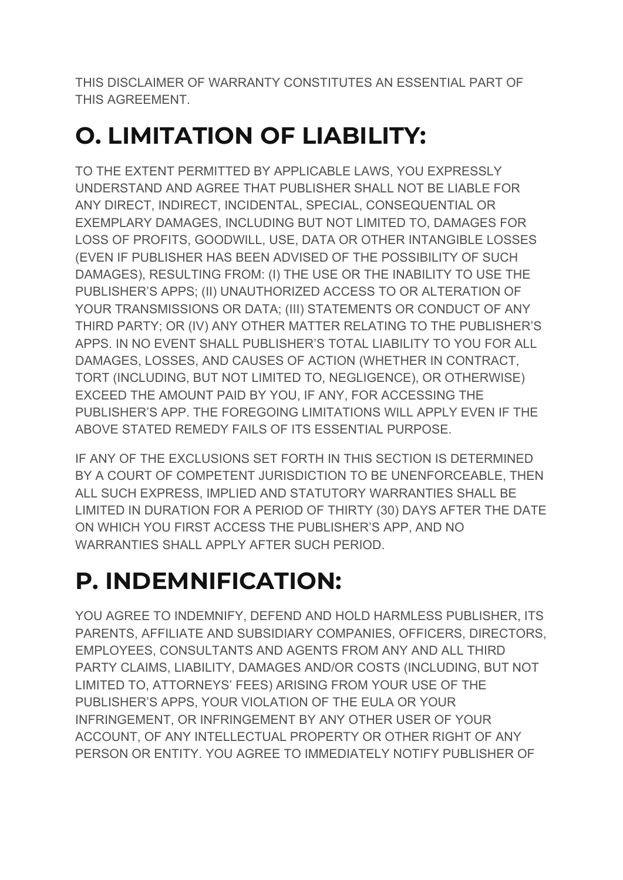THIS DISCLAIMER OF WARRANTY CONSTITUTES AN ESSENTIAL PART OF THIS AGREEMENT.

## **O. LIMITATION OF LIABILITY:**

TO THE EXTENT PERMITTED BY APPLICABLE LAWS, YOU EXPRESSLY UNDERSTAND AND AGREE THAT PUBLISHER SHALL NOT BE LIABLE FOR ANY DIRECT, INDIRECT, INCIDENTAL, SPECIAL, CONSEQUENTIAL OR EXEMPLARY DAMAGES, INCLUDING BUT NOT LIMITED TO, DAMAGES FOR LOSS OF PROFITS, GOODWILL, USE, DATA OR OTHER INTANGIBLE LOSSES (EVEN IF PUBLISHER HAS BEEN ADVISED OF THE POSSIBILITY OF SUCH DAMAGES), RESULTING FROM: (I) THE USE OR THE INABILITY TO USE THE PUBLISHER'S APPS; (II) UNAUTHORIZED ACCESS TO OR ALTERATION OF YOUR TRANSMISSIONS OR DATA; (III) STATEMENTS OR CONDUCT OF ANY THIRD PARTY; OR (IV) ANY OTHER MATTER RELATING TO THE PUBLISHER'S APPS. IN NO EVENT SHALL PUBLISHER'S TOTAL LIABILITY TO YOU FOR ALL DAMAGES, LOSSES, AND CAUSES OF ACTION (WHETHER IN CONTRACT, TORT (INCLUDING, BUT NOT LIMITED TO, NEGLIGENCE), OR OTHERWISE) EXCEED THE AMOUNT PAID BY YOU, IF ANY, FOR ACCESSING THE PUBLISHER'S APP. THE FOREGOING LIMITATIONS WILL APPLY EVEN IF THE ABOVE STATED REMEDY FAILS OF ITS ESSENTIAL PURPOSE.

IF ANY OF THE EXCLUSIONS SET FORTH IN THIS SECTION IS DETERMINED BY A COURT OF COMPETENT JURISDICTION TO BE UNENFORCEABLE, THEN ALL SUCH EXPRESS, IMPLIED AND STATUTORY WARRANTIES SHALL BE LIMITED IN DURATION FOR A PERIOD OF THIRTY (30) DAYS AFTER THE DATE ON WHICH YOU FIRST ACCESS THE PUBLISHER'S APP, AND NO WARRANTIES SHALL APPLY AFTER SUCH PERIOD.

## **P. INDEMNIFICATION:**

YOU AGREE TO INDEMNIFY, DEFEND AND HOLD HARMLESS PUBLISHER, ITS PARENTS, AFFILIATE AND SUBSIDIARY COMPANIES, OFFICERS, DIRECTORS, EMPLOYEES, CONSULTANTS AND AGENTS FROM ANY AND ALL THIRD PARTY CLAIMS, LIABILITY, DAMAGES AND/OR COSTS (INCLUDING, BUT NOT LIMITED TO, ATTORNEYS' FEES) ARISING FROM YOUR USE OF THE PUBLISHER'S APPS, YOUR VIOLATION OF THE EULA OR YOUR INFRINGEMENT, OR INFRINGEMENT BY ANY OTHER USER OF YOUR ACCOUNT, OF ANY INTELLECTUAL PROPERTY OR OTHER RIGHT OF ANY PERSON OR ENTITY. YOU AGREE TO IMMEDIATELY NOTIFY PUBLISHER OF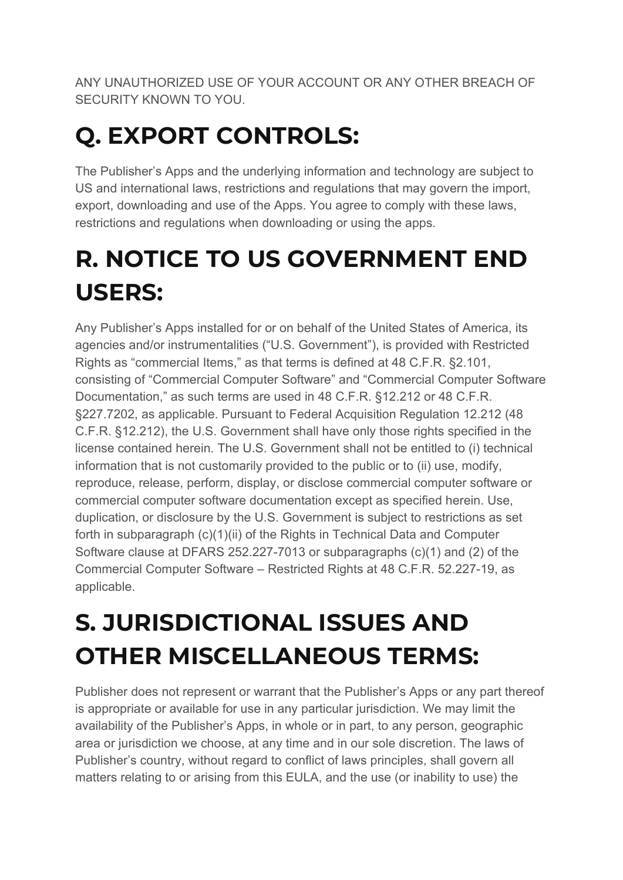ANY UNAUTHORIZED USE OF YOUR ACCOUNT OR ANY OTHER BREACH OF SECURITY KNOWN TO YOU.

## **Q. EXPORT CONTROLS:**

The Publisher's Apps and the underlying information and technology are subject to US and international laws, restrictions and regulations that may govern the import, export, downloading and use of the Apps. You agree to comply with these laws, restrictions and regulations when downloading or using the apps.

## **R. NOTICE TO US GOVERNMENT END USERS:**

Any Publisher's Apps installed for or on behalf of the United States of America, its agencies and/or instrumentalities ("U.S. Government"), is provided with Restricted Rights as "commercial Items," as that terms is defined at 48 C.F.R. §2.101, consisting of "Commercial Computer Software" and "Commercial Computer Software Documentation," as such terms are used in 48 C.F.R. §12.212 or 48 C.F.R. §227.7202, as applicable. Pursuant to Federal Acquisition Regulation 12.212 (48 C.F.R. §12.212), the U.S. Government shall have only those rights specified in the license contained herein. The U.S. Government shall not be entitled to (i) technical information that is not customarily provided to the public or to (ii) use, modify, reproduce, release, perform, display, or disclose commercial computer software or commercial computer software documentation except as specified herein. Use, duplication, or disclosure by the U.S. Government is subject to restrictions as set forth in subparagraph (c)(1)(ii) of the Rights in Technical Data and Computer Software clause at DFARS 252.227-7013 or subparagraphs (c)(1) and (2) of the Commercial Computer Software – Restricted Rights at 48 C.F.R. 52.227-19, as applicable.

## **S. JURISDICTIONAL ISSUES AND OTHER MISCELLANEOUS TERMS:**

Publisher does not represent or warrant that the Publisher's Apps or any part thereof is appropriate or available for use in any particular jurisdiction. We may limit the availability of the Publisher's Apps, in whole or in part, to any person, geographic area or jurisdiction we choose, at any time and in our sole discretion. The laws of Publisher's country, without regard to conflict of laws principles, shall govern all matters relating to or arising from this EULA, and the use (or inability to use) the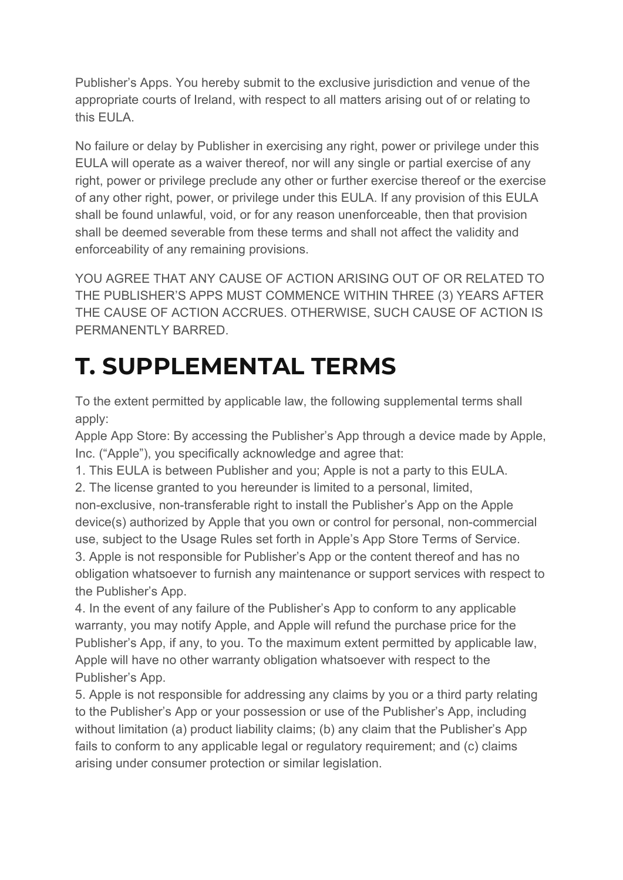Publisher's Apps. You hereby submit to the exclusive jurisdiction and venue of the appropriate courts of Ireland, with respect to all matters arising out of or relating to this EULA.

No failure or delay by Publisher in exercising any right, power or privilege under this EULA will operate as a waiver thereof, nor will any single or partial exercise of any right, power or privilege preclude any other or further exercise thereof or the exercise of any other right, power, or privilege under this EULA. If any provision of this EULA shall be found unlawful, void, or for any reason unenforceable, then that provision shall be deemed severable from these terms and shall not affect the validity and enforceability of any remaining provisions.

YOU AGREE THAT ANY CAUSE OF ACTION ARISING OUT OF OR RELATED TO THE PUBLISHER'S APPS MUST COMMENCE WITHIN THREE (3) YEARS AFTER THE CAUSE OF ACTION ACCRUES. OTHERWISE, SUCH CAUSE OF ACTION IS PERMANENTLY BARRED.

## **T. SUPPLEMENTAL TERMS**

To the extent permitted by applicable law, the following supplemental terms shall apply:

Apple App Store: By accessing the Publisher's App through a device made by Apple, Inc. ("Apple"), you specifically acknowledge and agree that:

1. This EULA is between Publisher and you; Apple is not a party to this EULA.

2. The license granted to you hereunder is limited to a personal, limited,

non-exclusive, non-transferable right to install the Publisher's App on the Apple device(s) authorized by Apple that you own or control for personal, non-commercial use, subject to the Usage Rules set forth in Apple's App Store Terms of Service.

3. Apple is not responsible for Publisher's App or the content thereof and has no obligation whatsoever to furnish any maintenance or support services with respect to the Publisher's App.

4. In the event of any failure of the Publisher's App to conform to any applicable warranty, you may notify Apple, and Apple will refund the purchase price for the Publisher's App, if any, to you. To the maximum extent permitted by applicable law, Apple will have no other warranty obligation whatsoever with respect to the Publisher's App.

5. Apple is not responsible for addressing any claims by you or a third party relating to the Publisher's App or your possession or use of the Publisher's App, including without limitation (a) product liability claims; (b) any claim that the Publisher's App fails to conform to any applicable legal or regulatory requirement; and (c) claims arising under consumer protection or similar legislation.